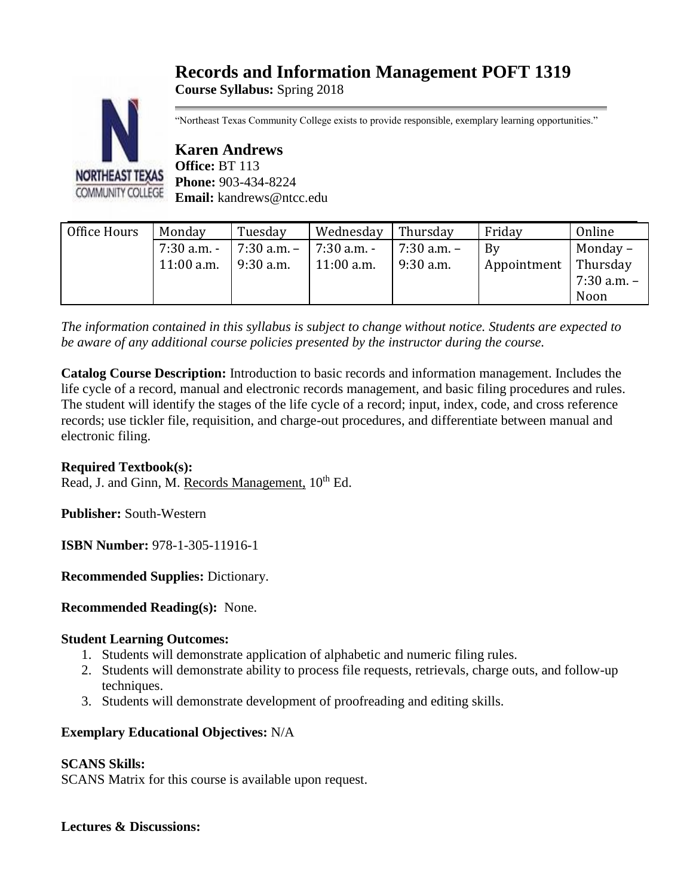# **Records and Information Management POFT 1319**

**Course Syllabus:** Spring 2018



"Northeast Texas Community College exists to provide responsible, exemplary learning opportunities."

**Karen Andrews Office:** BT 113 **Phone:** 903-434-8224 **Email:** kandrews@ntcc.edu

| Office Hours | Monday        | Tuesday         | Wednesday    | Thursday    | Friday      | Online          |
|--------------|---------------|-----------------|--------------|-------------|-------------|-----------------|
|              | $7:30$ a.m. - | $7:30$ a.m. $-$ | 7:30 a.m. -  | 7:30 a.m. - | Bv          | Monday-         |
|              | $11:00$ a.m.  | $9:30$ a.m.     | $11:00$ a.m. | $9:30$ a.m. | Appointment | Thursday        |
|              |               |                 |              |             |             | $7:30$ a.m. $-$ |
|              |               |                 |              |             |             | Noon            |

*The information contained in this syllabus is subject to change without notice. Students are expected to be aware of any additional course policies presented by the instructor during the course.*

**Catalog Course Description:** Introduction to basic records and information management. Includes the life cycle of a record, manual and electronic records management, and basic filing procedures and rules. The student will identify the stages of the life cycle of a record; input, index, code, and cross reference records; use tickler file, requisition, and charge-out procedures, and differentiate between manual and electronic filing.

# **Required Textbook(s):**

Read, J. and Ginn, M. Records Management,  $10^{th}$  Ed.

**Publisher:** South-Western

**ISBN Number:** 978-1-305-11916-1

**Recommended Supplies:** Dictionary.

**Recommended Reading(s):** None.

#### **Student Learning Outcomes:**

- 1. Students will demonstrate application of alphabetic and numeric filing rules.
- 2. Students will demonstrate ability to process file requests, retrievals, charge outs, and follow-up techniques.
- 3. Students will demonstrate development of proofreading and editing skills.

# **Exemplary Educational Objectives:** N/A

# **SCANS Skills:**

SCANS Matrix for this course is available upon request.

#### **Lectures & Discussions:**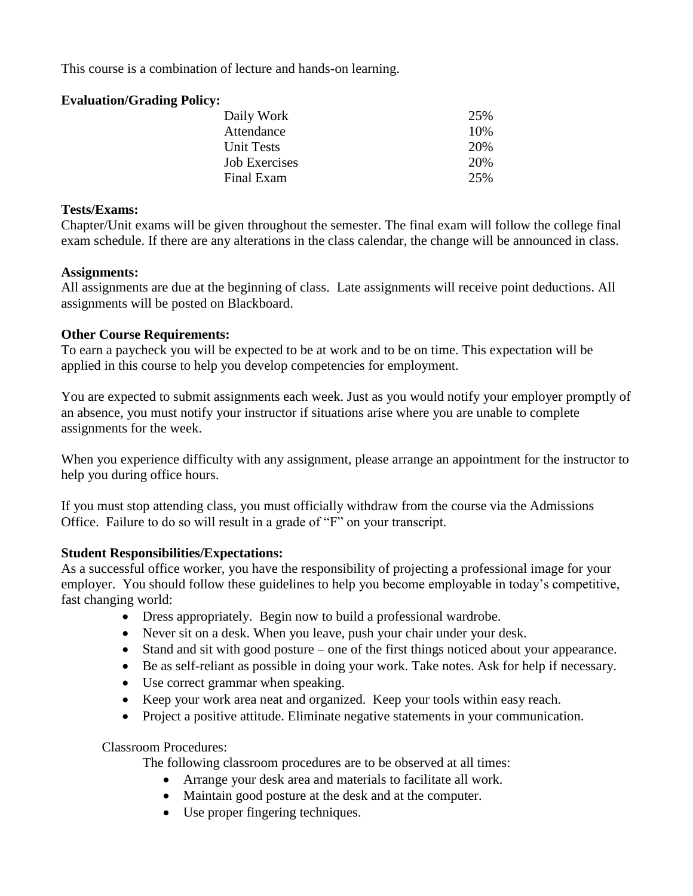This course is a combination of lecture and hands-on learning.

#### **Evaluation/Grading Policy:**

| Daily Work        | 25% |
|-------------------|-----|
| Attendance        | 10% |
| <b>Unit Tests</b> | 20% |
| Job Exercises     | 20% |
| Final Exam        | 25% |
|                   |     |

#### **Tests/Exams:**

Chapter/Unit exams will be given throughout the semester. The final exam will follow the college final exam schedule. If there are any alterations in the class calendar, the change will be announced in class.

#### **Assignments:**

All assignments are due at the beginning of class. Late assignments will receive point deductions. All assignments will be posted on Blackboard.

# **Other Course Requirements:**

To earn a paycheck you will be expected to be at work and to be on time. This expectation will be applied in this course to help you develop competencies for employment.

You are expected to submit assignments each week. Just as you would notify your employer promptly of an absence, you must notify your instructor if situations arise where you are unable to complete assignments for the week.

When you experience difficulty with any assignment, please arrange an appointment for the instructor to help you during office hours.

If you must stop attending class, you must officially withdraw from the course via the Admissions Office. Failure to do so will result in a grade of "F" on your transcript.

# **Student Responsibilities/Expectations:**

As a successful office worker, you have the responsibility of projecting a professional image for your employer. You should follow these guidelines to help you become employable in today's competitive, fast changing world:

- Dress appropriately. Begin now to build a professional wardrobe.
- Never sit on a desk. When you leave, push your chair under your desk.
- Stand and sit with good posture one of the first things noticed about your appearance.
- Be as self-reliant as possible in doing your work. Take notes. Ask for help if necessary.
- Use correct grammar when speaking.
- Keep your work area neat and organized. Keep your tools within easy reach.
- Project a positive attitude. Eliminate negative statements in your communication.

Classroom Procedures:

The following classroom procedures are to be observed at all times:

- Arrange your desk area and materials to facilitate all work.
- Maintain good posture at the desk and at the computer.
- Use proper fingering techniques.